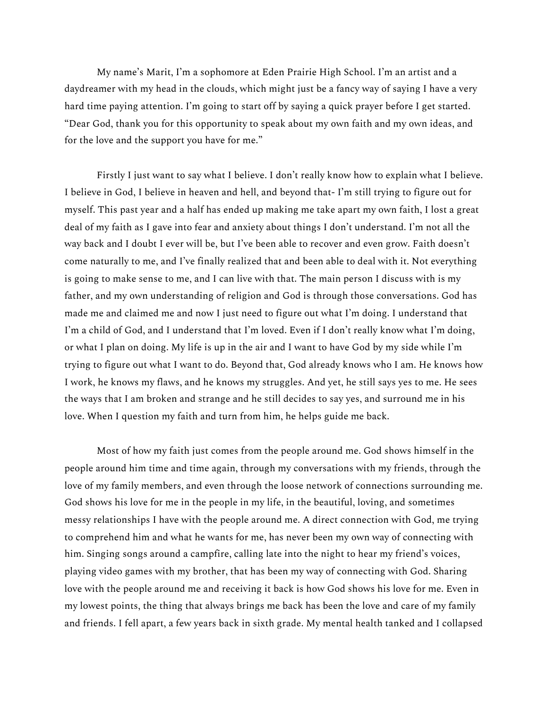My name's Marit, I'm a sophomore at Eden Prairie High School. I'm an artist and a daydreamer with my head in the clouds, which might just be a fancy way of saying I have a very hard time paying attention. I'm going to start off by saying a quick prayer before I get started. "Dear God, thank you for this opportunity to speak about my own faith and my own ideas, and for the love and the support you have for me."

Firstly I just want to say what I believe. I don't really know how to explain what I believe. I believe in God, I believe in heaven and hell, and beyond that- I'm still trying to figure out for myself. This past year and a half has ended up making me take apart my own faith, I lost a great deal of my faith as I gave into fear and anxiety about things I don't understand. I'm not all the way back and I doubt I ever will be, but I've been able to recover and even grow. Faith doesn't come naturally to me, and I've finally realized that and been able to deal with it. Not everything is going to make sense to me, and I can live with that. The main person I discuss with is my father, and my own understanding of religion and God is through those conversations. God has made me and claimed me and now I just need to figure out what I'm doing. I understand that I'm a child of God, and I understand that I'm loved. Even if I don't really know what I'm doing, or what I plan on doing. My life is up in the air and I want to have God by my side while I'm trying to figure out what I want to do. Beyond that, God already knows who I am. He knows how I work, he knows my flaws, and he knows my struggles. And yet, he still says yes to me. He sees the ways that I am broken and strange and he still decides to say yes, and surround me in his love. When I question my faith and turn from him, he helps guide me back.

Most of how my faith just comes from the people around me. God shows himself in the people around him time and time again, through my conversations with my friends, through the love of my family members, and even through the loose network of connections surrounding me. God shows his love for me in the people in my life, in the beautiful, loving, and sometimes messy relationships I have with the people around me. A direct connection with God, me trying to comprehend him and what he wants for me, has never been my own way of connecting with him. Singing songs around a campfire, calling late into the night to hear my friend's voices, playing video games with my brother, that has been my way of connecting with God. Sharing love with the people around me and receiving it back is how God shows his love for me. Even in my lowest points, the thing that always brings me back has been the love and care of my family and friends. I fell apart, a few years back in sixth grade. My mental health tanked and I collapsed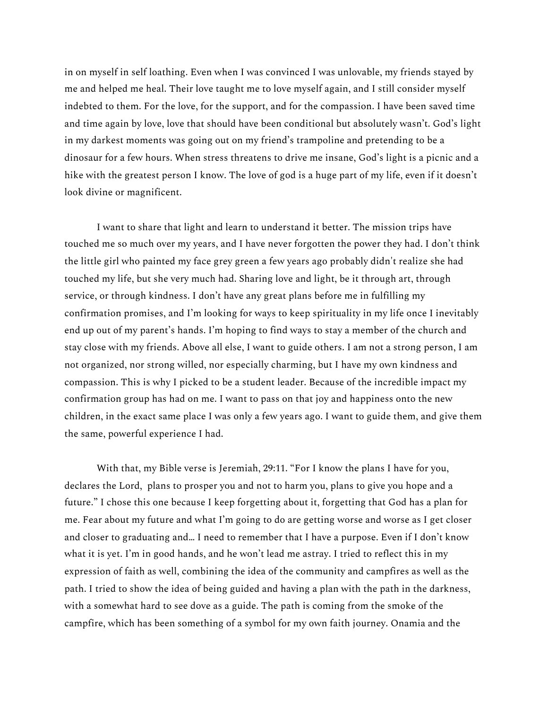in on myself in self loathing. Even when I was convinced I was unlovable, my friends stayed by me and helped me heal. Their love taught me to love myself again, and I still consider myself indebted to them. For the love, for the support, and for the compassion. I have been saved time and time again by love, love that should have been conditional but absolutely wasn't. God's light in my darkest moments was going out on my friend's trampoline and pretending to be a dinosaur for a few hours. When stress threatens to drive me insane, God's light is a picnic and a hike with the greatest person I know. The love of god is a huge part of my life, even if it doesn't look divine or magnificent.

I want to share that light and learn to understand it better. The mission trips have touched me so much over my years, and I have never forgotten the power they had. I don't think the little girl who painted my face grey green a few years ago probably didn't realize she had touched my life, but she very much had. Sharing love and light, be it through art, through service, or through kindness. I don't have any great plans before me in fulfilling my confirmation promises, and I'm looking for ways to keep spirituality in my life once I inevitably end up out of my parent's hands. I'm hoping to find ways to stay a member of the church and stay close with my friends. Above all else, I want to guide others. I am not a strong person, I am not organized, nor strong willed, nor especially charming, but I have my own kindness and compassion. This is why I picked to be a student leader. Because of the incredible impact my confirmation group has had on me. I want to pass on that joy and happiness onto the new children, in the exact same place I was only a few years ago. I want to guide them, and give them the same, powerful experience I had.

With that, my Bible verse is Jeremiah, 29:11. "For I know the plans I have for you, declares the Lord, plans to prosper you and not to harm you, plans to give you hope and a future." I chose this one because I keep forgetting about it, forgetting that God has a plan for me. Fear about my future and what I'm going to do are getting worse and worse as I get closer and closer to graduating and… I need to remember that I have a purpose. Even if I don't know what it is yet. I'm in good hands, and he won't lead me astray. I tried to reflect this in my expression of faith as well, combining the idea of the community and campfires as well as the path. I tried to show the idea of being guided and having a plan with the path in the darkness, with a somewhat hard to see dove as a guide. The path is coming from the smoke of the campfire, which has been something of a symbol for my own faith journey. Onamia and the